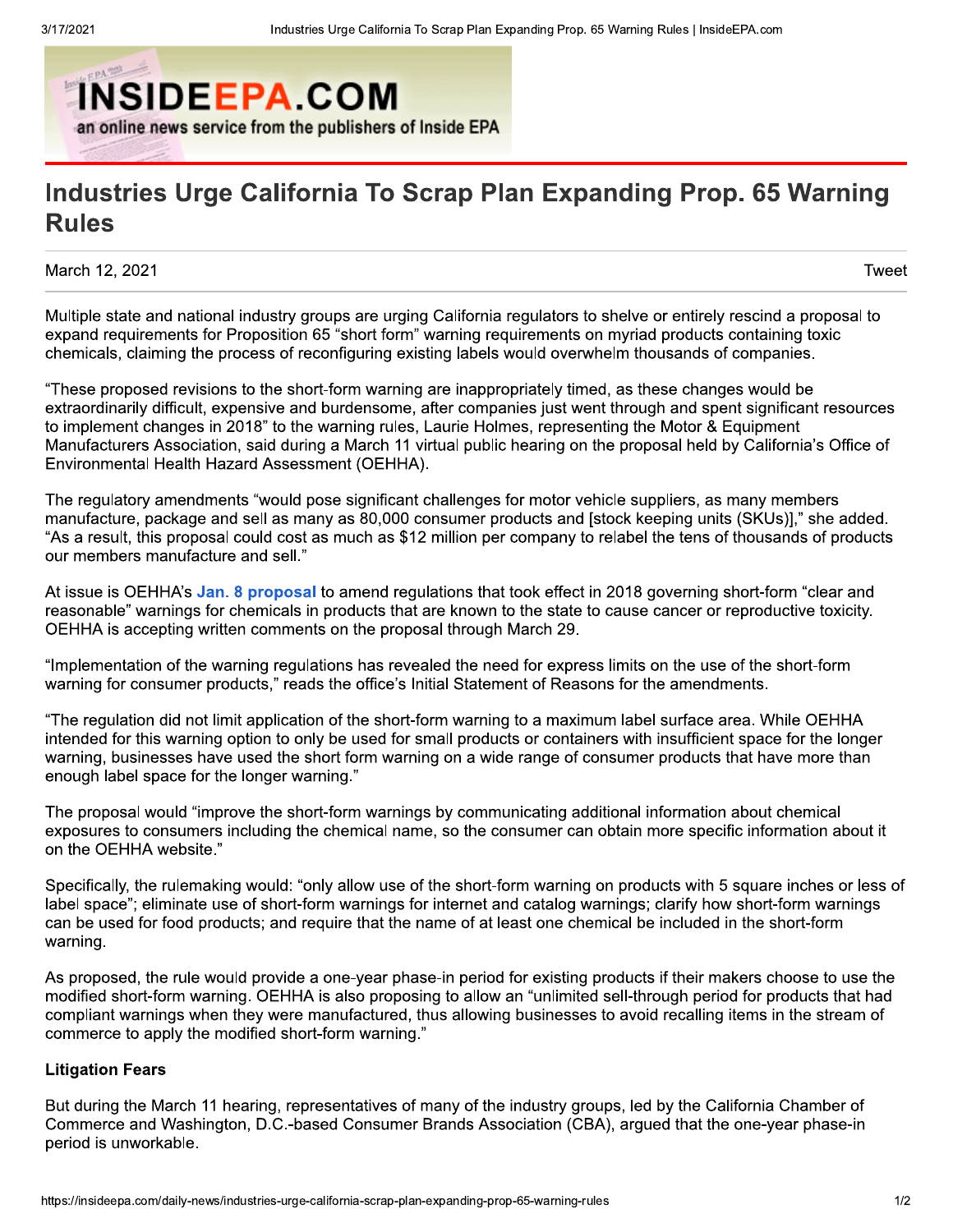

## Industries Urge California To Scrap Plan Expanding Prop. 65 Warning **Rules**

March 12, 2021

Tweet

Multiple state and national industry groups are urging California regulators to shelve or entirely rescind a proposal to expand requirements for Proposition 65 "short form" warning requirements on myriad products containing toxic chemicals, claiming the process of reconfiguring existing labels would overwhelm thousands of companies.

"These proposed revisions to the short-form warning are inappropriately timed, as these changes would be extraordinarily difficult, expensive and burdensome, after companies just went through and spent significant resources to implement changes in 2018" to the warning rules, Laurie Holmes, representing the Motor & Equipment Manufacturers Association, said during a March 11 virtual public hearing on the proposal held by California's Office of Environmental Health Hazard Assessment (OEHHA).

The regulatory amendments "would pose significant challenges for motor vehicle suppliers, as many members manufacture, package and sell as many as 80,000 consumer products and [stock keeping units (SKUs)]," she added. "As a result, this proposal could cost as much as \$12 million per company to relabel the tens of thousands of products our members manufacture and sell."

At issue is OEHHA's Jan. 8 proposal to amend regulations that took effect in 2018 governing short-form "clear and reasonable" warnings for chemicals in products that are known to the state to cause cancer or reproductive toxicity. OEHHA is accepting written comments on the proposal through March 29.

"Implementation of the warning regulations has revealed the need for express limits on the use of the short-form warning for consumer products," reads the office's Initial Statement of Reasons for the amendments.

"The regulation did not limit application of the short-form warning to a maximum label surface area. While OEHHA intended for this warning option to only be used for small products or containers with insufficient space for the longer warning, businesses have used the short form warning on a wide range of consumer products that have more than enough label space for the longer warning."

The proposal would "improve the short-form warnings by communicating additional information about chemical exposures to consumers including the chemical name, so the consumer can obtain more specific information about it on the OEHHA website."

Specifically, the rulemaking would: "only allow use of the short-form warning on products with 5 square inches or less of label space"; eliminate use of short-form warnings for internet and catalog warnings; clarify how short-form warnings can be used for food products; and require that the name of at least one chemical be included in the short-form warning.

As proposed, the rule would provide a one-year phase-in period for existing products if their makers choose to use the modified short-form warning. OEHHA is also proposing to allow an "unlimited sell-through period for products that had compliant warnings when they were manufactured, thus allowing businesses to avoid recalling items in the stream of commerce to apply the modified short-form warning."

## **Litigation Fears**

But during the March 11 hearing, representatives of many of the industry groups, led by the California Chamber of Commerce and Washington, D.C.-based Consumer Brands Association (CBA), arqued that the one-year phase-in period is unworkable.